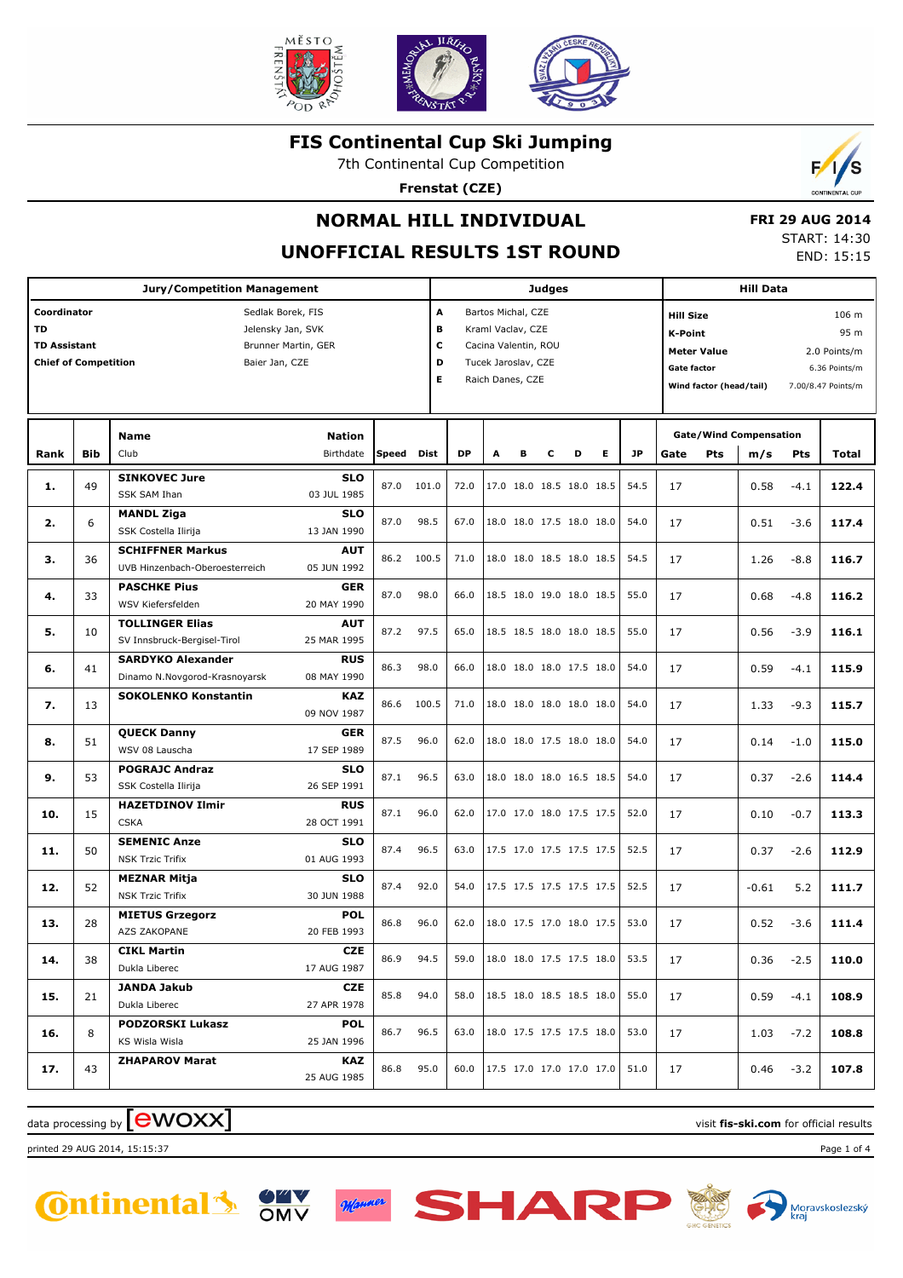

7th Continental Cup Competition

**Frenstat (CZE)**



**UNOFFICIAL RESULTS 1ST ROUND**

 **FRI 29 AUG 2014** START: 14:30 END: 15:15

|                                                                                                                                                            |            | <b>Jury/Competition Management</b>                        |                           |      |       | <b>Judges</b>                                                                                                                       |   |   |   |                          |           |      |     | <b>Hill Data</b>                                                                                                                |         |        |                                                |  |
|------------------------------------------------------------------------------------------------------------------------------------------------------------|------------|-----------------------------------------------------------|---------------------------|------|-------|-------------------------------------------------------------------------------------------------------------------------------------|---|---|---|--------------------------|-----------|------|-----|---------------------------------------------------------------------------------------------------------------------------------|---------|--------|------------------------------------------------|--|
| Coordinator<br>Sedlak Borek, FIS<br>TD<br>Jelensky Jan, SVK<br><b>TD Assistant</b><br>Brunner Martin, GER<br><b>Chief of Competition</b><br>Baier Jan, CZE |            |                                                           |                           |      |       | A<br>Bartos Michal, CZE<br>в<br>Kraml Vaclav, CZE<br>c<br>Cacina Valentin, ROU<br>D<br>Tucek Jaroslav, CZE<br>Е<br>Raich Danes, CZE |   |   |   |                          |           |      |     | <b>Hill Size</b><br><b>K-Point</b><br><b>Meter Value</b><br><b>Gate factor</b><br>Wind factor (head/tail)<br>7.00/8.47 Points/m |         |        | 106 m<br>95 m<br>2.0 Points/m<br>6.36 Points/m |  |
| Rank                                                                                                                                                       | <b>Bib</b> | <b>Name</b><br>Club                                       | Speed                     | Dist | DP    | A                                                                                                                                   | в | с | D | Е                        | <b>JP</b> | Gate | Pts | <b>Gate/Wind Compensation</b><br>m/s                                                                                            | Pts     | Total  |                                                |  |
| 1.                                                                                                                                                         | 49         | <b>SINKOVEC Jure</b><br>SSK SAM Ihan                      | <b>SLO</b><br>03 JUL 1985 | 87.0 | 101.0 | 72.0                                                                                                                                |   |   |   | 17.0 18.0 18.5 18.0 18.5 |           | 54.5 | 17  |                                                                                                                                 | 0.58    | $-4.1$ | 122.4                                          |  |
| 2.                                                                                                                                                         | 6          | <b>MANDL Ziga</b><br>SSK Costella Ilirija                 | <b>SLO</b><br>13 JAN 1990 | 87.0 | 98.5  | 67.0                                                                                                                                |   |   |   | 18.0 18.0 17.5 18.0 18.0 |           | 54.0 | 17  |                                                                                                                                 | 0.51    | $-3.6$ | 117.4                                          |  |
| з.                                                                                                                                                         | 36         | <b>SCHIFFNER Markus</b><br>UVB Hinzenbach-Oberoesterreich | <b>AUT</b><br>05 JUN 1992 | 86.2 | 100.5 | 71.0                                                                                                                                |   |   |   | 18.0 18.0 18.5 18.0 18.5 |           | 54.5 | 17  |                                                                                                                                 | 1.26    | $-8.8$ | 116.7                                          |  |
| 4.                                                                                                                                                         | 33         | <b>PASCHKE Pius</b><br>WSV Kiefersfelden                  | <b>GER</b><br>20 MAY 1990 | 87.0 | 98.0  | 66.0                                                                                                                                |   |   |   | 18.5 18.0 19.0 18.0 18.5 |           | 55.0 | 17  |                                                                                                                                 | 0.68    | $-4.8$ | 116.2                                          |  |
| 5.                                                                                                                                                         | 10         | <b>TOLLINGER Elias</b><br>SV Innsbruck-Bergisel-Tirol     | <b>AUT</b><br>25 MAR 1995 | 87.2 | 97.5  | 65.0                                                                                                                                |   |   |   | 18.5 18.5 18.0 18.0 18.5 |           | 55.0 | 17  |                                                                                                                                 | 0.56    | $-3.9$ | 116.1                                          |  |
| 6.                                                                                                                                                         | 41         | <b>SARDYKO Alexander</b><br>Dinamo N.Novgorod-Krasnoyarsk | <b>RUS</b><br>08 MAY 1990 | 86.3 | 98.0  | 66.0                                                                                                                                |   |   |   | 18.0 18.0 18.0 17.5 18.0 |           | 54.0 | 17  |                                                                                                                                 | 0.59    | $-4.1$ | 115.9                                          |  |
| 7.                                                                                                                                                         | 13         | <b>SOKOLENKO Konstantin</b>                               | <b>KAZ</b><br>09 NOV 1987 | 86.6 | 100.5 | 71.0                                                                                                                                |   |   |   | 18.0 18.0 18.0 18.0 18.0 |           | 54.0 | 17  |                                                                                                                                 | 1.33    | $-9.3$ | 115.7                                          |  |
| 8.                                                                                                                                                         | 51         | <b>QUECK Danny</b><br>WSV 08 Lauscha                      | <b>GER</b><br>17 SEP 1989 | 87.5 | 96.0  | 62.0                                                                                                                                |   |   |   | 18.0 18.0 17.5 18.0 18.0 |           | 54.0 | 17  |                                                                                                                                 | 0.14    | $-1.0$ | 115.0                                          |  |
| 9.                                                                                                                                                         | 53         | <b>POGRAJC Andraz</b><br>SSK Costella Ilirija             | <b>SLO</b><br>26 SEP 1991 | 87.1 | 96.5  | 63.0                                                                                                                                |   |   |   | 18.0 18.0 18.0 16.5 18.5 |           | 54.0 | 17  |                                                                                                                                 | 0.37    | $-2.6$ | 114.4                                          |  |
| 10.                                                                                                                                                        | 15         | <b>HAZETDINOV Ilmir</b><br><b>CSKA</b>                    | <b>RUS</b><br>28 OCT 1991 | 87.1 | 96.0  | 62.0                                                                                                                                |   |   |   | 17.0 17.0 18.0 17.5 17.5 |           | 52.0 | 17  |                                                                                                                                 | 0.10    | $-0.7$ | 113.3                                          |  |
| 11.                                                                                                                                                        | 50         | <b>SEMENIC Anze</b><br><b>NSK Trzic Trifix</b>            | <b>SLO</b><br>01 AUG 1993 | 87.4 | 96.5  | 63.0                                                                                                                                |   |   |   | 17.5 17.0 17.5 17.5 17.5 |           | 52.5 | 17  |                                                                                                                                 | 0.37    | $-2.6$ | 112.9                                          |  |
| 12.                                                                                                                                                        | 52         | <b>MEZNAR Mitja</b><br><b>NSK Trzic Trifix</b>            | <b>SLO</b><br>30 JUN 1988 | 87.4 | 92.0  | 54.0                                                                                                                                |   |   |   | 17.5 17.5 17.5 17.5 17.5 |           | 52.5 | 17  |                                                                                                                                 | $-0.61$ | 5.2    | 111.7                                          |  |
| 13.                                                                                                                                                        | 28         | <b>MIETUS Grzegorz</b><br>AZS ZAKOPANE                    | <b>POL</b><br>20 FEB 1993 | 86.8 | 96.0  | 62.0                                                                                                                                |   |   |   | 18.0 17.5 17.0 18.0 17.5 |           | 53.0 | 17  |                                                                                                                                 | 0.52    | $-3.6$ | 111.4                                          |  |
| 14.                                                                                                                                                        | 38         | <b>CIKL Martin</b><br>Dukla Liberec                       | <b>CZE</b><br>17 AUG 1987 | 86.9 | 94.5  | 59.0                                                                                                                                |   |   |   | 18.0 18.0 17.5 17.5 18.0 |           | 53.5 | 17  |                                                                                                                                 | 0.36    | $-2.5$ | 110.0                                          |  |
| 15.                                                                                                                                                        | 21         | JANDA Jakub<br>Dukla Liberec                              | <b>CZE</b><br>27 APR 1978 | 85.8 | 94.0  | 58.0                                                                                                                                |   |   |   | 18.5 18.0 18.5 18.5 18.0 |           | 55.0 | 17  |                                                                                                                                 | 0.59    | $-4.1$ | 108.9                                          |  |
| 16.                                                                                                                                                        | 8          | <b>PODZORSKI Lukasz</b><br>KS Wisla Wisla                 | <b>POL</b><br>25 JAN 1996 | 86.7 | 96.5  | 63.0                                                                                                                                |   |   |   | 18.0 17.5 17.5 17.5 18.0 |           | 53.0 | 17  |                                                                                                                                 | 1.03    | $-7.2$ | 108.8                                          |  |
| 17.                                                                                                                                                        | 43         | <b>ZHAPAROV Marat</b>                                     | KAZ<br>25 AUG 1985        | 86.8 | 95.0  | 60.0                                                                                                                                |   |   |   | 17.5 17.0 17.0 17.0 17.0 |           | 51.0 | 17  |                                                                                                                                 | 0.46    | $-3.2$ | 107.8                                          |  |

SHAR

### $\alpha$  data processing by  $\boxed{\text{ewOX}}$









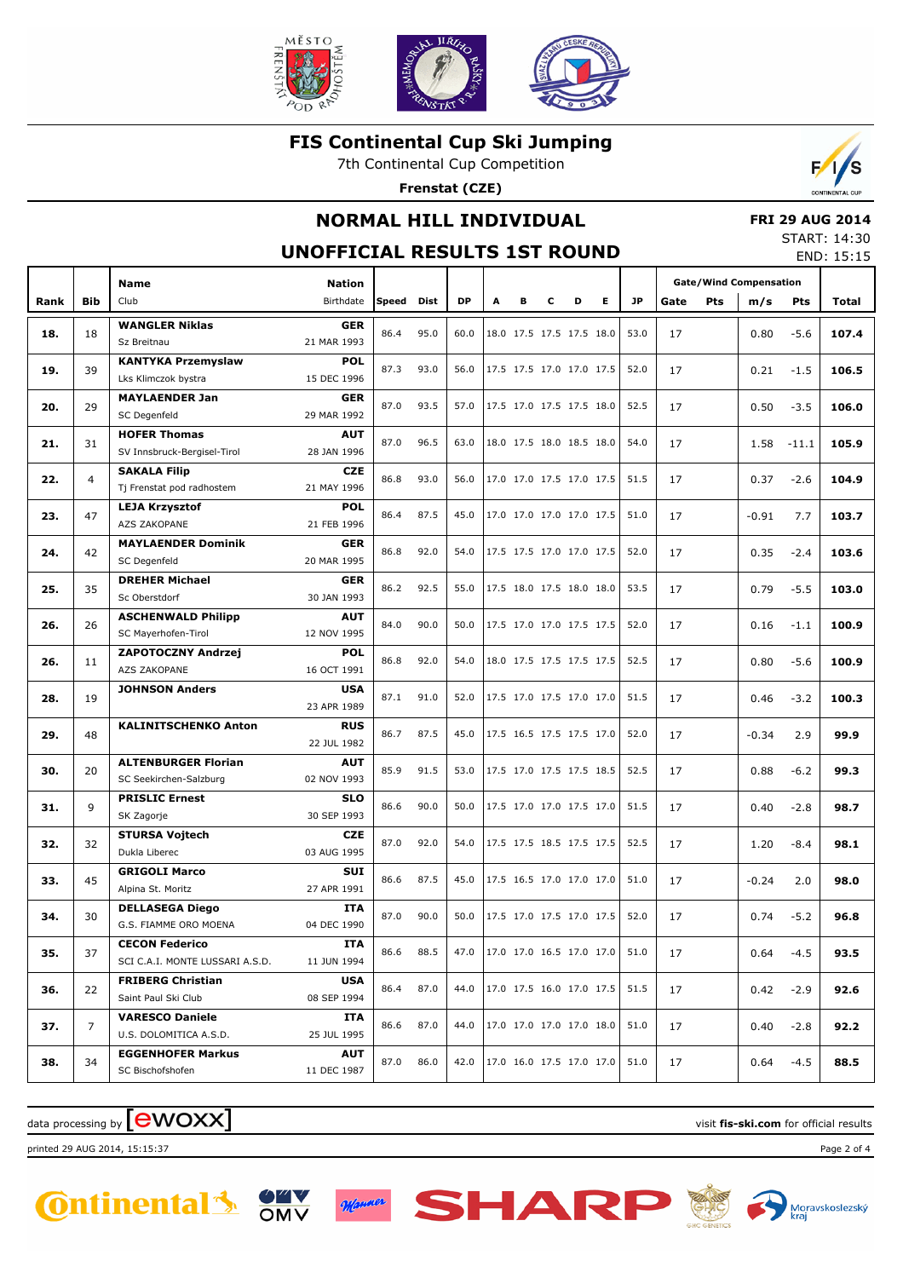

7th Continental Cup Competition

**Frenstat (CZE)**



## **NORMAL HILL INDIVIDUAL**

## **FRI 29 AUG 2014**

#### **UNOFFICIAL RESULTS 1ST ROUND**

START: 14:30 END: 15:15

|      |                            | <b>Name</b>                     | <b>Nation</b>             |       |           |           |   |   |   |                          |    |      | <b>Gate/Wind Compensation</b> |                                                                                              |         |         |              |
|------|----------------------------|---------------------------------|---------------------------|-------|-----------|-----------|---|---|---|--------------------------|----|------|-------------------------------|----------------------------------------------------------------------------------------------|---------|---------|--------------|
| Rank | <b>Bib</b>                 | Club                            | Birthdate                 | Speed | Dist      | <b>DP</b> | A | B | c | D                        | E. | JP.  | Gate                          | <b>Pts</b>                                                                                   | m/s     | Pts     | <b>Total</b> |
|      |                            | <b>WANGLER Niklas</b>           | <b>GER</b>                |       |           |           |   |   |   |                          |    |      |                               |                                                                                              |         |         |              |
| 18.  | 18                         | Sz Breitnau                     | 21 MAR 1993               | 86.4  | 95.0      | 60.0      |   |   |   | 18.0 17.5 17.5 17.5 18.0 |    | 53.0 | 17                            |                                                                                              | 0.80    | $-5.6$  | 107.4        |
|      |                            | <b>KANTYKA Przemyslaw</b>       | <b>POL</b>                |       |           |           |   |   |   |                          |    |      |                               |                                                                                              |         |         |              |
| 19.  | 39                         | Lks Klimczok bystra             | 15 DEC 1996               | 87.3  | 93.0      | 56.0      |   |   |   | 17.5 17.5 17.0 17.0 17.5 |    | 52.0 | 17                            |                                                                                              | 0.21    | $-1.5$  | 106.5        |
|      |                            | <b>MAYLAENDER Jan</b>           | <b>GER</b>                |       |           |           |   |   |   |                          |    |      |                               |                                                                                              |         |         |              |
| 20.  | 29                         | <b>SC Degenfeld</b>             | 29 MAR 1992               | 87.0  | 93.5      | 57.0      |   |   |   | 17.5 17.0 17.5 17.5 18.0 |    | 52.5 | 17                            |                                                                                              | 0.50    | $-3.5$  | 106.0        |
|      |                            | <b>HOFER Thomas</b>             | <b>AUT</b>                |       |           |           |   |   |   |                          |    |      |                               |                                                                                              |         |         |              |
| 21.  | 31                         | SV Innsbruck-Bergisel-Tirol     | 28 JAN 1996               | 87.0  | 96.5      | 63.0      |   |   |   | 18.0 17.5 18.0 18.5 18.0 |    | 54.0 | 17                            |                                                                                              | 1.58    | $-11.1$ | 105.9        |
|      |                            | <b>SAKALA Filip</b>             | <b>CZE</b>                |       |           |           |   |   |   |                          |    |      |                               |                                                                                              |         |         |              |
| 22.  | 4                          | Tj Frenstat pod radhostem       | 21 MAY 1996               | 86.8  | 93.0      | 56.0      |   |   |   | 17.0 17.0 17.5 17.0 17.5 |    | 51.5 | 17                            |                                                                                              | 0.37    | $-2.6$  | 104.9        |
| 23.  | 47                         | <b>LEJA Krzysztof</b>           | <b>POL</b>                | 86.4  | 87.5      | 45.0      |   |   |   | 17.0 17.0 17.0 17.0 17.5 |    | 51.0 | 17                            |                                                                                              | $-0.91$ | 7.7     | 103.7        |
|      |                            | AZS ZAKOPANE                    | 21 FEB 1996               |       |           |           |   |   |   |                          |    |      |                               |                                                                                              |         |         |              |
| 24.  |                            | <b>MAYLAENDER Dominik</b>       | <b>GER</b>                | 86.8  | 92.0      | 54.0      |   |   |   | 17.5 17.5 17.0 17.0 17.5 |    | 52.0 | 17                            |                                                                                              | 0.35    | $-2.4$  | 103.6        |
|      |                            | SC Degenfeld                    | 20 MAR 1995               |       |           |           |   |   |   |                          |    |      |                               |                                                                                              |         |         |              |
| 25.  |                            | <b>DREHER Michael</b>           | <b>GER</b>                | 86.2  | 92.5      | 55.0      |   |   |   | 17.5 18.0 17.5 18.0 18.0 |    | 53.5 | 17                            |                                                                                              |         | $-5.5$  | 103.0        |
|      |                            | Sc Oberstdorf                   | 30 JAN 1993               |       |           |           |   |   |   |                          |    |      |                               |                                                                                              |         |         |              |
| 26.  | 42<br>35<br>26<br>11<br>19 | <b>ASCHENWALD Philipp</b>       | <b>AUT</b>                | 84.0  | 90.0      | 50.0      |   |   |   | 17.5 17.0 17.0 17.5 17.5 |    | 52.0 | 17                            |                                                                                              | 0.16    | $-1.1$  | 100.9        |
|      |                            | SC Mayerhofen-Tirol             | 12 NOV 1995               |       |           |           |   |   |   |                          |    |      |                               |                                                                                              |         |         |              |
| 26.  |                            | <b>ZAPOTOCZNY Andrzej</b>       | <b>POL</b>                | 86.8  | 92.0      | 54.0      |   |   |   | 18.0 17.5 17.5 17.5 17.5 |    | 52.5 | 17                            |                                                                                              | 0.80    | $-5.6$  | 100.9        |
|      |                            | <b>AZS ZAKOPANE</b>             | 16 OCT 1991               |       |           |           |   |   |   |                          |    |      |                               |                                                                                              |         |         |              |
| 28.  |                            | <b>JOHNSON Anders</b>           | <b>USA</b><br>23 APR 1989 | 87.1  | 91.0      | 52.0      |   |   |   | 17.5 17.0 17.5 17.0 17.0 |    | 51.5 | 17                            |                                                                                              | 0.46    | $-3.2$  | 100.3        |
|      |                            | <b>KALINITSCHENKO Anton</b>     |                           |       |           |           |   |   |   |                          |    |      |                               |                                                                                              |         |         |              |
| 29.  | 48                         |                                 | <b>RUS</b><br>22 JUL 1982 | 86.7  | 87.5      | 45.0      |   |   |   | 17.5 16.5 17.5 17.5 17.0 |    | 52.0 | 17                            |                                                                                              | $-0.34$ | 2.9     | 99.9         |
|      |                            | <b>ALTENBURGER Florian</b>      | <b>AUT</b>                |       |           |           |   |   |   |                          |    |      |                               |                                                                                              |         |         |              |
| 30.  | 20                         | SC Seekirchen-Salzburg          | 02 NOV 1993               | 85.9  | 91.5      | 53.0      |   |   |   | 17.5 17.0 17.5 17.5 18.5 |    | 52.5 | 17                            |                                                                                              | 0.88    | $-6.2$  | 99.3         |
|      |                            | <b>PRISLIC Ernest</b>           | <b>SLO</b>                |       |           |           |   |   |   |                          |    |      |                               |                                                                                              |         |         |              |
| 31.  | 9                          | SK Zagorje                      | 30 SEP 1993               | 86.6  | 90.0      | 50.0      |   |   |   | 17.5 17.0 17.0 17.5 17.0 |    | 51.5 | 17                            |                                                                                              |         | $-2.8$  | 98.7         |
|      |                            | <b>STURSA Vojtech</b>           | <b>CZE</b>                |       |           |           |   |   |   |                          |    |      |                               |                                                                                              |         |         |              |
| 32.  | 32                         | Dukla Liberec                   | 03 AUG 1995               | 87.0  | 92.0      | 54.0      |   |   |   | 17.5 17.5 18.5 17.5 17.5 |    | 52.5 | 17                            |                                                                                              |         | $-8.4$  | 98.1         |
|      |                            | <b>GRIGOLI Marco</b>            | SUI                       |       |           |           |   |   |   |                          |    |      |                               |                                                                                              |         |         |              |
| 33.  | 45                         | Alpina St. Moritz               | 27 APR 1991               | 86.6  | 87.5      | 45.0      |   |   |   | 17.5 16.5 17.0 17.0 17.0 |    | 51.0 | 17                            |                                                                                              |         | 2.0     | 98.0         |
|      |                            | <b>DELLASEGA Diego</b>          | ITA                       | 87.0  | 90.0      | 50.0      |   |   |   | 17.5 17.0 17.5 17.0 17.5 |    | 52.0 |                               |                                                                                              |         | $-5.2$  | 96.8         |
| 34.  | 30                         | G.S. FIAMME ORO MOENA           | 04 DEC 1990               |       |           |           |   |   |   |                          |    |      | 17                            |                                                                                              |         |         |              |
| 35.  | 37                         | <b>CECON Federico</b>           | ITA                       |       | 86.6 88.5 | 47.0      |   |   |   | 17.0 17.0 16.5 17.0 17.0 |    | 51.0 | 17                            |                                                                                              |         |         | 93.5         |
|      |                            | SCI C.A.I. MONTE LUSSARI A.S.D. | 11 JUN 1994               |       |           |           |   |   |   |                          |    |      |                               |                                                                                              |         |         |              |
| 36.  | 22                         | <b>FRIBERG Christian</b>        | <b>USA</b>                | 86.4  | 87.0      | 44.0      |   |   |   | 17.0 17.5 16.0 17.0 17.5 |    | 51.5 | 17                            |                                                                                              |         |         | 92.6         |
|      |                            | Saint Paul Ski Club             | 08 SEP 1994               |       |           |           |   |   |   |                          |    |      |                               |                                                                                              |         |         |              |
| 37.  | 7                          | <b>VARESCO Daniele</b>          | ITA                       | 86.6  | 87.0      | 44.0      |   |   |   | 17.0 17.0 17.0 17.0 18.0 |    | 51.0 | 17                            | 0.79<br>0.40<br>1.20<br>$-0.24$<br>0.74<br>$0.64 -4.5$<br>$0.42 -2.9$<br>0.40<br>$0.64 -4.5$ | $-2.8$  | 92.2    |              |
|      |                            | U.S. DOLOMITICA A.S.D.          | 25 JUL 1995               |       |           |           |   |   |   |                          |    |      |                               |                                                                                              |         |         |              |
| 38.  | 34                         | <b>EGGENHOFER Markus</b>        | <b>AUT</b>                | 87.0  | 86.0      | 42.0      |   |   |   | 17.0 16.0 17.5 17.0 17.0 |    | 51.0 | 17                            |                                                                                              |         |         | 88.5         |
|      |                            | SC Bischofshofen                | 11 DEC 1987               |       |           |           |   |   |   |                          |    |      |                               |                                                                                              |         |         |              |

# $\alpha$  data processing by  $\boxed{\text{ewOX}}$

printed 29 AUG 2014, 15:15:37 Page 2 of 4







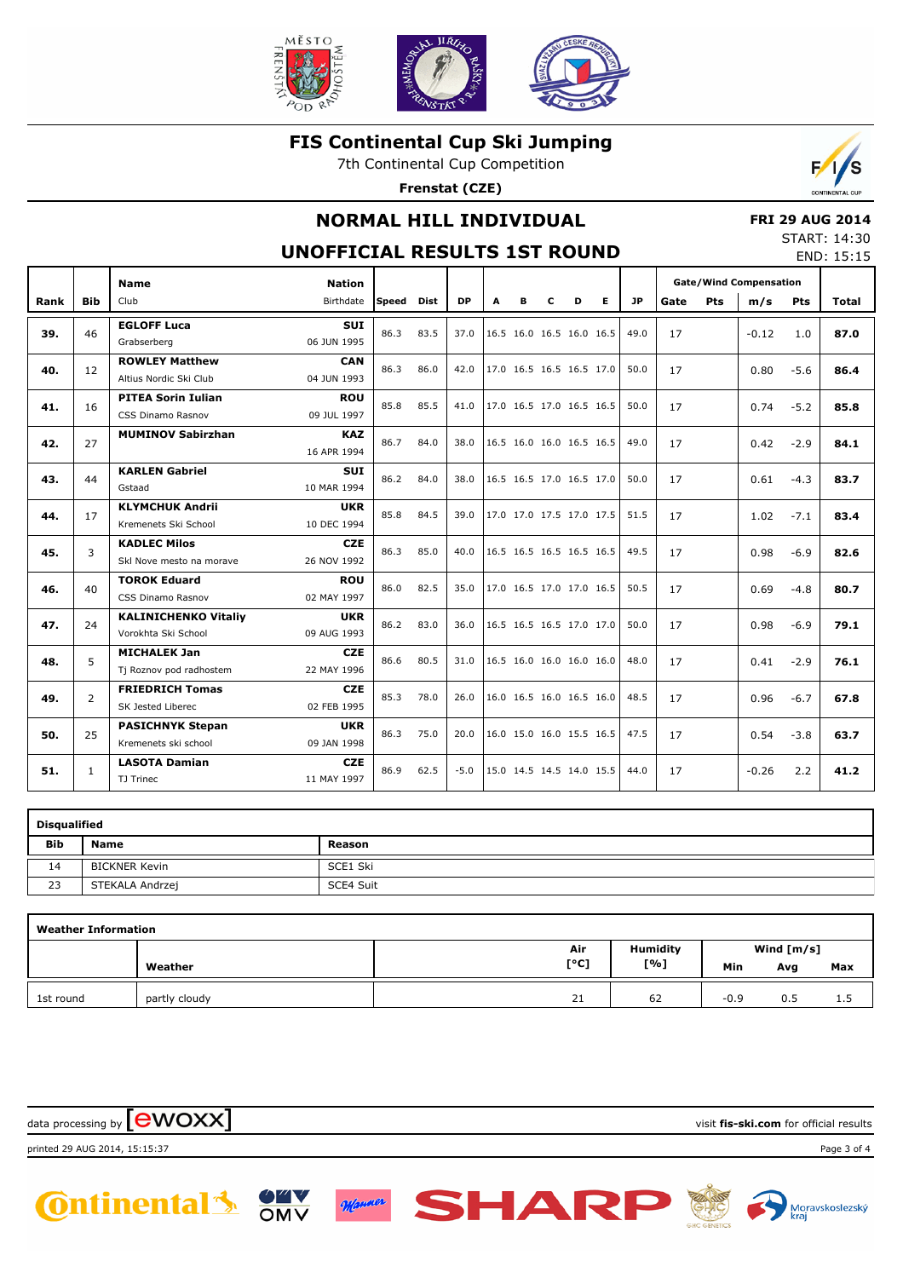

7th Continental Cup Competition

**Frenstat (CZE)**



## **NORMAL HILL INDIVIDUAL**

### **FRI 29 AUG 2014**

#### **UNOFFICIAL RESULTS 1ST ROUND**

START: 14:30 END: 15:15

|          |                | <b>Name</b>                 | <b>Nation</b> |        |             |           |   |   |   |                          |                          |      | <b>Gate/Wind Compensation</b> |     |         |        |              |
|----------|----------------|-----------------------------|---------------|--------|-------------|-----------|---|---|---|--------------------------|--------------------------|------|-------------------------------|-----|---------|--------|--------------|
| Rank     | <b>Bib</b>     | Club                        | Birthdate     | lSpeed | <b>Dist</b> | <b>DP</b> | A | в | c | D                        | Е                        | JP.  | Gate                          | Pts | m/s     | Pts    | <b>Total</b> |
| 39.      | 46             | <b>EGLOFF Luca</b>          | <b>SUI</b>    | 86.3   | 83.5        | 37.0      |   |   |   | 16.5 16.0 16.5 16.0 16.5 |                          | 49.0 | 17                            |     | $-0.12$ | 1.0    | 87.0         |
|          |                | Grabserberg                 | 06 JUN 1995   |        |             |           |   |   |   |                          |                          |      |                               |     |         |        |              |
| 40.      | 12             | <b>ROWLEY Matthew</b>       | <b>CAN</b>    | 86.3   | 86.0        | 42.0      |   |   |   | 17.0 16.5 16.5 16.5 17.0 |                          | 50.0 | 17                            |     | 0.80    | $-5.6$ | 86.4         |
|          |                | Altius Nordic Ski Club      | 04 JUN 1993   |        |             |           |   |   |   |                          |                          |      |                               |     |         |        |              |
| 41.      | 16             | <b>PITEA Sorin Iulian</b>   | <b>ROU</b>    | 85.8   | 85.5        | 41.0      |   |   |   |                          | 17.0 16.5 17.0 16.5 16.5 | 50.0 | 17                            |     | 0.74    | $-5.2$ | 85.8         |
|          |                | CSS Dinamo Rasnov           | 09 JUL 1997   |        |             |           |   |   |   |                          |                          |      |                               |     |         |        |              |
| 42.      | 27             | <b>MUMINOV Sabirzhan</b>    | <b>KAZ</b>    | 86.7   | 84.0        | 38.0      |   |   |   | 16.5 16.0 16.0 16.5 16.5 |                          | 49.0 |                               |     | 0.42    | $-2.9$ | 84.1         |
|          |                |                             | 16 APR 1994   |        |             |           |   |   |   |                          |                          |      | 17<br>17<br>17                |     |         |        |              |
| 43.      | 44             | <b>KARLEN Gabriel</b>       | <b>SUI</b>    | 86.2   | 84.0        | 38.0      |   |   |   | 16.5 16.5 17.0 16.5 17.0 |                          | 50.0 |                               |     | 0.61    | $-4.3$ | 83.7         |
|          |                | Gstaad                      | 10 MAR 1994   |        |             |           |   |   |   |                          |                          |      |                               |     |         |        |              |
| 44.      | 17             | <b>KLYMCHUK Andrii</b>      | <b>UKR</b>    | 85.8   | 84.5        | 39.0      |   |   |   | 17.0 17.0 17.5 17.0 17.5 |                          | 51.5 |                               |     | 1.02    | $-7.1$ | 83.4         |
|          |                | Kremenets Ski School        | 10 DEC 1994   |        |             |           |   |   |   |                          |                          |      |                               |     |         |        |              |
| 3<br>45. |                | <b>KADLEC Milos</b>         | <b>CZE</b>    | 86.3   | 85.0        | 40.0      |   |   |   | 16.5 16.5 16.5 16.5 16.5 |                          | 49.5 |                               |     | 0.98    | $-6.9$ | 82.6         |
|          |                | Skl Nove mesto na morave    | 26 NOV 1992   |        |             |           |   |   |   |                          |                          |      |                               |     |         |        |              |
| 46.      | 40             | <b>TOROK Eduard</b>         | <b>ROU</b>    | 86.0   | 82.5        | 35.0      |   |   |   | 17.0 16.5 17.0 17.0 16.5 |                          | 50.5 |                               |     |         | $-4.8$ | 80.7         |
|          |                | CSS Dinamo Rasnov           | 02 MAY 1997   |        |             |           |   |   |   |                          |                          |      |                               |     | 0.69    |        |              |
| 47.      | 24             | <b>KALINICHENKO Vitaliy</b> | <b>UKR</b>    | 86.2   | 83.0        | 36.0      |   |   |   | 16.5 16.5 16.5 17.0 17.0 |                          | 50.0 | 17<br>17<br>17<br>17          |     | 0.98    | $-6.9$ | 79.1         |
|          |                | Vorokhta Ski School         | 09 AUG 1993   |        |             |           |   |   |   |                          |                          |      |                               |     |         |        |              |
| 48.      | 5              | <b>MICHALEK Jan</b>         | <b>CZE</b>    | 86.6   | 80.5        | 31.0      |   |   |   | 16.5 16.0 16.0 16.0 16.0 |                          | 48.0 |                               |     | 0.41    | $-2.9$ | 76.1         |
|          |                | Tj Roznov pod radhostem     | 22 MAY 1996   |        |             |           |   |   |   |                          |                          |      |                               |     |         |        |              |
| 49.      | $\overline{2}$ | <b>FRIEDRICH Tomas</b>      | <b>CZE</b>    | 85.3   | 78.0        | 26.0      |   |   |   | 16.0 16.5 16.0 16.5 16.0 |                          | 48.5 | 17                            |     | 0.96    | $-6.7$ | 67.8         |
|          |                | SK Jested Liberec           | 02 FEB 1995   |        |             |           |   |   |   |                          |                          |      |                               |     |         |        |              |
| 50.      | 25             | <b>PASICHNYK Stepan</b>     | <b>UKR</b>    | 86.3   | 75.0        | 20.0      |   |   |   | 16.0 15.0 16.0 15.5 16.5 |                          | 47.5 | 17                            |     | 0.54    | $-3.8$ | 63.7         |
|          |                | Kremenets ski school        | 09 JAN 1998   |        |             |           |   |   |   |                          |                          |      |                               |     |         |        |              |
| 51.      | $\mathbf{1}$   | <b>LASOTA Damian</b>        | <b>CZE</b>    | 86.9   | 62.5        | $-5.0$    |   |   |   |                          | 15.0 14.5 14.5 14.0 15.5 | 44.0 | 17                            |     | $-0.26$ | 2.2    | 41.2         |
|          |                | TJ Trinec                   | 11 MAY 1997   |        |             |           |   |   |   |                          |                          |      |                               |     |         |        |              |

| <b>Disqualified</b> |                      |           |  |  |  |  |  |  |  |  |
|---------------------|----------------------|-----------|--|--|--|--|--|--|--|--|
| <b>Bib</b>          | <b>Name</b>          | Reason    |  |  |  |  |  |  |  |  |
| 14                  | <b>BICKNER Kevin</b> | SCE1 Ski  |  |  |  |  |  |  |  |  |
| 23                  | STEKALA Andrzej      | SCE4 Suit |  |  |  |  |  |  |  |  |

| <b>Weather Information</b> |               |      |                 |              |     |     |  |
|----------------------------|---------------|------|-----------------|--------------|-----|-----|--|
|                            |               | Air  | <b>Humidity</b> | Wind $[m/s]$ |     |     |  |
|                            | Weather       | [°C] | [%]             | Min          | Avg | Max |  |
| 1st round                  | partly cloudy | 21   | 62              | $-0.9$       | 0.5 | 1.5 |  |

data processing by **CWOXX** and  $\blacksquare$  and  $\blacksquare$  and  $\blacksquare$  and  $\blacksquare$  and  $\blacksquare$  and  $\blacksquare$  and  $\blacksquare$  and  $\blacksquare$  and  $\blacksquare$  and  $\blacksquare$  and  $\blacksquare$  and  $\blacksquare$  and  $\blacksquare$  and  $\blacksquare$  and  $\blacksquare$  and  $\blacksquare$  and  $\blacksquare$  and  $\blacks$ printed 29 AUG 2014, 15:15:37 Page 3 of 4**C**ntinental 3 Manner OMV SHAR